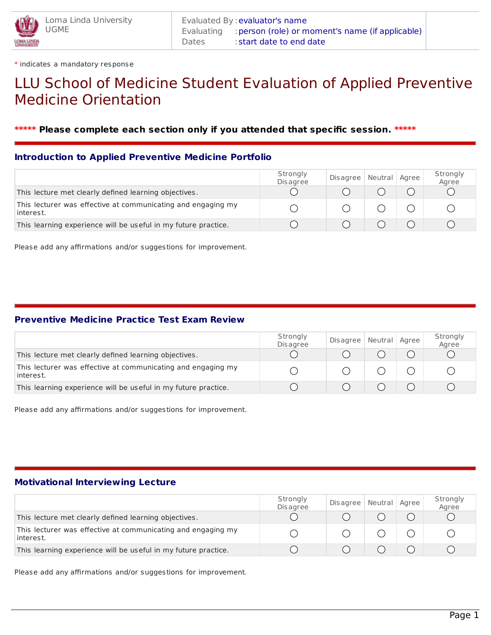

\* indicates a mandatory response

# LLU School of Medicine Student Evaluation of Applied Preventive Medicine Orientation

### **\*\*\*\*\* Please complete each section only if you attended that specific session. \*\*\*\*\***

#### **Introduction to Applied Preventive Medicine Portfolio**

|                                                                           | Strongly<br><b>Disagree</b> | Disagree   Neutral   Agree |  | Strongly<br>Agree |
|---------------------------------------------------------------------------|-----------------------------|----------------------------|--|-------------------|
| This lecture met clearly defined learning objectives.                     |                             |                            |  |                   |
| This lecturer was effective at communicating and engaging my<br>interest. |                             |                            |  |                   |
| This learning experience will be useful in my future practice.            |                             |                            |  |                   |

Please add any affirmations and/or suggestions for improvement.

#### **Preventive Medicine Practice Test Exam Review**

|                                                                           | Strongly<br><b>Disagree</b> | Disagree   Neutral   Agree |  | Strongly<br>Agree |
|---------------------------------------------------------------------------|-----------------------------|----------------------------|--|-------------------|
| This lecture met clearly defined learning objectives.                     |                             |                            |  |                   |
| This lecturer was effective at communicating and engaging my<br>interest. |                             |                            |  |                   |
| This learning experience will be useful in my future practice.            |                             |                            |  |                   |

Please add any affirmations and/or suggestions for improvement.

#### **Motivational Interviewing Lecture**

|                                                                           | Strongly<br><b>Disagree</b> | Disagree | Neutral Agree | Strongly<br>Agree |
|---------------------------------------------------------------------------|-----------------------------|----------|---------------|-------------------|
| This lecture met clearly defined learning objectives.                     |                             |          |               |                   |
| This lecturer was effective at communicating and engaging my<br>interest. |                             |          |               |                   |
| This learning experience will be useful in my future practice.            |                             |          |               |                   |

Please add any affirmations and/or suggestions for improvement.